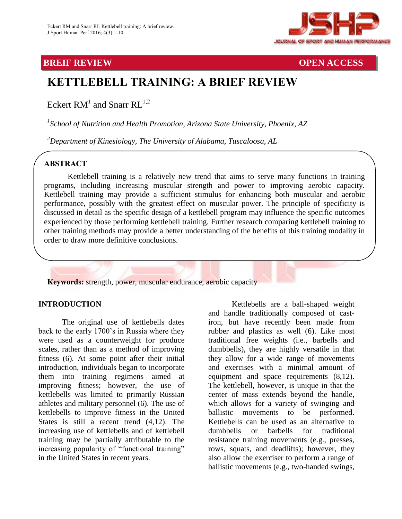

## **BREIF REVIEW OPEN ACCESS**

# **KETTLEBELL TRAINING: A BRIEF REVIEW**

Eckert  $\text{RM}^{1}$  and Snarr  $\text{RL}^{1,2}$ 

*1 School of Nutrition and Health Promotion, Arizona State University, Phoenix, AZ*

*<sup>2</sup>Department of Kinesiology, The University of Alabama, Tuscaloosa, AL*

# . **ABSTRACT**

Kettlebell training is a relatively new trend that aims to serve many functions in training programs, including increasing muscular strength and power to improving aerobic capacity. Kettlebell training may provide a sufficient stimulus for enhancing both muscular and aerobic performance, possibly with the greatest effect on muscular power. The principle of specificity is discussed in detail as the specific design of a kettlebell program may influence the specific outcomes experienced by those performing kettlebell training. Further research comparing kettlebell training to other training methods may provide a better understanding of the benefits of this training modality in order to draw more definitive conclusions.



### **INTRODUCTION**

The original use of kettlebells dates back to the early 1700's in Russia where they were used as a counterweight for produce scales, rather than as a method of improving fitness (6). At some point after their initial introduction, individuals began to incorporate them into training regimens aimed at improving fitness; however, the use of kettlebells was limited to primarily Russian athletes and military personnel (6). The use of kettlebells to improve fitness in the United States is still a recent trend (4,12). The increasing use of kettlebells and of kettlebell training may be partially attributable to the increasing popularity of "functional training" in the United States in recent years.

Kettlebells are a ball-shaped weight and handle traditionally composed of castiron, but have recently been made from rubber and plastics as well (6). Like most traditional free weights (i.e., barbells and dumbbells), they are highly versatile in that they allow for a wide range of movements and exercises with a minimal amount of equipment and space requirements (8,12). The kettlebell, however, is unique in that the center of mass extends beyond the handle, which allows for a variety of swinging and ballistic movements to be performed. Kettlebells can be used as an alternative to dumbbells or barbells for traditional resistance training movements (e.g., presses, rows, squats, and deadlifts); however, they also allow the exerciser to perform a range of ballistic movements (e.g., two-handed swings,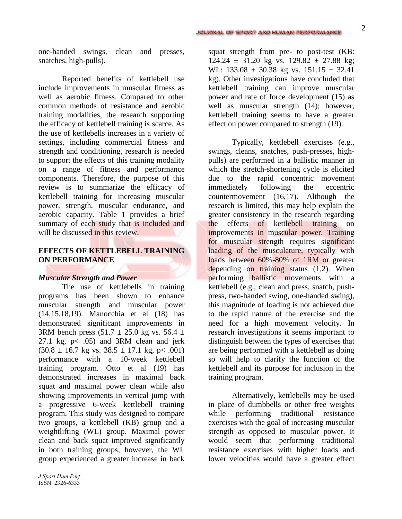one-handed swings, clean and presses, snatches, high-pulls).

Reported benefits of kettlebell use include improvements in muscular fitness as well as aerobic fitness. Compared to other common methods of resistance and aerobic training modalities, the research supporting the efficacy of kettlebell training is scarce. As the use of kettlebells increases in a variety of settings, including commercial fitness and strength and conditioning, research is needed to support the effects of this training modality on a range of fitness and performance components. Therefore, the purpose of this review is to summarize the efficacy of kettlebell training for increasing muscular power, strength, muscular endurance, and aerobic capacity. Table 1 provides a brief summary of each study that is included and will be discussed in this review.

#### **EFFECTS OF KETTLEBELL TRAINING ON PERFORMANCE**

#### *Muscular Strength and Power*

The use of kettlebells in training programs has been shown to enhance muscular strength and muscular power (14,15,18,19). Manocchia et al (18) has demonstrated significant improvements in 3RM bench press  $(51.7 \pm 25.0 \text{ kg} \text{ vs. } 56.4 \pm \text{m})$ 27.1 kg,  $p < .05$ ) and 3RM clean and jerk  $(30.8 \pm 16.7 \text{ kg vs. } 38.5 \pm 17.1 \text{ kg}, \text{ p} < .001)$ performance with a 10-week kettlebell training program. Otto et al (19) has demonstrated increases in maximal back squat and maximal power clean while also showing improvements in vertical jump with a progressive 6-week kettlebell training program. This study was designed to compare two groups, a kettlebell (KB) group and a weightlifting (WL) group. Maximal power clean and back squat improved significantly in both training groups; however, the WL group experienced a greater increase in back

squat strength from pre- to post-test (KB:  $124.24 \pm 31.20$  kg vs.  $129.82 \pm 27.88$  kg; WL:  $133.08 \pm 30.38$  kg vs.  $151.15 \pm 32.41$ kg). Other investigations have concluded that kettlebell training can improve muscular power and rate of force development (15) as well as muscular strength (14); however, kettlebell training seems to have a greater effect on power compared to strength (19).

Typically, kettlebell exercises (e.g., swings, cleans, snatches, push-presses, highpulls) are performed in a ballistic manner in which the stretch-shortening cycle is elicited due to the rapid concentric movement immediately following the eccentric countermovement (16,17). Although the research is limited, this may help explain the greater consistency in the research regarding the effects of kettlebell training on improvements in muscular power. Training for muscular strength requires significant loading of the musculature, typically with loads between 60%-80% of 1RM or greater depending on training status (1,2). When performing ballistic movements with a kettlebell (e.g., clean and press, snatch, pushpress, two-handed swing, one-handed swing), this magnitude of loading is not achieved due to the rapid nature of the exercise and the need for a high movement velocity. In research investigations it seems important to distinguish between the types of exercises that are being performed with a kettlebell as doing so will help to clarify the function of the kettlebell and its purpose for inclusion in the training program.

Alternatively, kettlebells may be used in place of dumbbells or other free weights while performing traditional resistance exercises with the goal of increasing muscular strength as opposed to muscular power. It would seem that performing traditional resistance exercises with higher loads and lower velocities would have a greater effect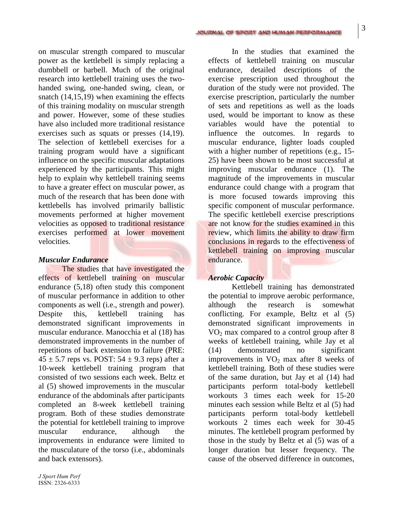on muscular strength compared to muscular power as the kettlebell is simply replacing a dumbbell or barbell. Much of the original research into kettlebell training uses the twohanded swing, one-handed swing, clean, or snatch (14,15,19) when examining the effects of this training modality on muscular strength and power. However, some of these studies have also included more traditional resistance exercises such as squats or presses (14,19). The selection of kettlebell exercises for a training program would have a significant influence on the specific muscular adaptations experienced by the participants. This might help to explain why kettlebell training seems to have a greater effect on muscular power, as much of the research that has been done with kettlebells has involved primarily ballistic movements performed at higher movement velocities as opposed to traditional resistance exercises performed at lower movement velocities.

#### *Muscular Endurance*

The studies that have investigated the effects of kettlebell training on muscular endurance (5,18) often study this component of muscular performance in addition to other components as well (i.e., strength and power). Despite this, kettlebell training has demonstrated significant improvements in muscular endurance. Manocchia et al (18) has demonstrated improvements in the number of repetitions of back extension to failure (PRE:  $45 \pm 5.7$  reps vs. POST:  $54 \pm 9.3$  reps) after a 10-week kettlebell training program that consisted of two sessions each week. Beltz et al (5) showed improvements in the muscular endurance of the abdominals after participants completed an 8-week kettlebell training program. Both of these studies demonstrate the potential for kettlebell training to improve muscular endurance, although the improvements in endurance were limited to the musculature of the torso (i.e., abdominals and back extensors).

*J Sport Hum Perf* ISSN: 2326-6333

In the studies that examined the effects of kettlebell training on muscular endurance, detailed descriptions of the exercise prescription used throughout the duration of the study were not provided. The exercise prescription, particularly the number of sets and repetitions as well as the loads used, would be important to know as these variables would have the potential to influence the outcomes. In regards to muscular endurance, lighter loads coupled with a higher number of repetitions (e.g., 15- 25) have been shown to be most successful at improving muscular endurance (1). The magnitude of the improvements in muscular endurance could change with a program that is more focused towards improving this specific component of muscular performance. The specific kettlebell exercise prescriptions are not know for the studies examined in this review, which limits the ability to draw firm conclusions in regards to the effectiveness of kettlebell training on improving muscular endurance.

#### *Aerobic Capacity*

Kettlebell training has demonstrated the potential to improve aerobic performance, although the research is somewhat conflicting. For example, Beltz et al (5) demonstrated significant improvements in  $VO<sub>2</sub>$  max compared to a control group after 8 weeks of kettlebell training, while Jay et al (14) demonstrated no significant improvements in  $VO<sub>2</sub>$  max after 8 weeks of kettlebell training. Both of these studies were of the same duration, but Jay et al (14) had participants perform total-body kettlebell workouts 3 times each week for 15-20 minutes each session while Beltz et al (5) had participants perform total-body kettlebell workouts 2 times each week for 30-45 minutes. The kettlebell program performed by those in the study by Beltz et al (5) was of a longer duration but lesser frequency. The cause of the observed difference in outcomes,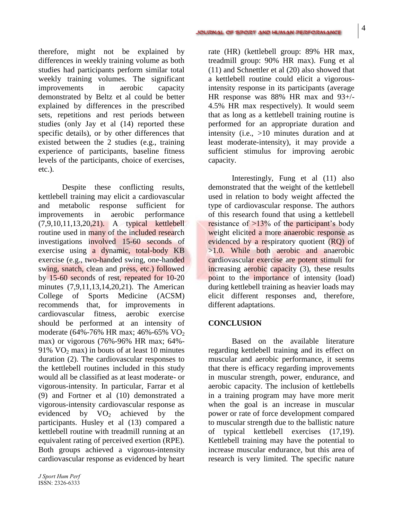therefore, might not be explained by differences in weekly training volume as both studies had participants perform similar total weekly training volumes. The significant improvements in aerobic capacity demonstrated by Beltz et al could be better explained by differences in the prescribed sets, repetitions and rest periods between studies (only Jay et al (14) reported these specific details), or by other differences that existed between the 2 studies (e.g., training experience of participants, baseline fitness levels of the participants, choice of exercises, etc.).

Despite these conflicting results, kettlebell training may elicit a cardiovascular and metabolic response sufficient for improvements in aerobic performance (7,9,10,11,13,20,21). A typical kettlebell routine used in many of the included research investigations involved 15-60 seconds of exercise using a dynamic, total-body KB exercise (e.g., two-handed swing, one-handed swing, snatch, clean and press, etc.) followed by 15-60 seconds of rest, repeated for 10-20 minutes (7,9,11,13,14,20,21). The American College of Sports Medicine (ACSM) recommends that, for improvements in cardiovascular fitness, aerobic exercise should be performed at an intensity of moderate (64%-76% HR max; 46%-65% VO<sub>2</sub> max) or vigorous (76%-96% HR max; 64%- 91%  $VO<sub>2</sub>$  max) in bouts of at least 10 minutes duration (2). The cardiovascular responses to the kettlebell routines included in this study would all be classified as at least moderate- or vigorous-intensity. In particular, Farrar et al (9) and Fortner et al (10) demonstrated a vigorous-intensity cardiovascular response as evidenced by  $VO<sub>2</sub>$  achieved by the participants. Husley et al (13) compared a kettlebell routine with treadmill running at an equivalent rating of perceived exertion (RPE). Both groups achieved a vigorous-intensity cardiovascular response as evidenced by heart

rate (HR) (kettlebell group: 89% HR max, treadmill group: 90% HR max). Fung et al (11) and Schnettler et al (20) also showed that a kettlebell routine could elicit a vigorousintensity response in its participants (average HR response was 88% HR max and 93+/- 4.5% HR max respectively). It would seem that as long as a kettlebell training routine is performed for an appropriate duration and intensity (i.e., >10 minutes duration and at least moderate-intensity), it may provide a sufficient stimulus for improving aerobic capacity.

Interestingly, Fung et al (11) also demonstrated that the weight of the kettlebell used in relation to body weight affected the type of cardiovascular response. The authors of this research found that using a kettlebell resistance of >13% of the participant's body weight elicited a more anaerobic response as evidenced by a respiratory quotient (RQ) of  $>1.0$ . While both aerobic and anaerobic cardiovascular exercise are potent stimuli for increasing aerobic capacity (3), these results point to the importance of intensity (load) during kettlebell training as heavier loads may elicit different responses and, therefore, different adaptations.

#### **CONCLUSION**

Based on the available literature regarding kettlebell training and its effect on muscular and aerobic performance, it seems that there is efficacy regarding improvements in muscular strength, power, endurance, and aerobic capacity. The inclusion of kettlebells in a training program may have more merit when the goal is an increase in muscular power or rate of force development compared to muscular strength due to the ballistic nature of typical kettlebell exercises (17,19). Kettlebell training may have the potential to increase muscular endurance, but this area of research is very limited. The specific nature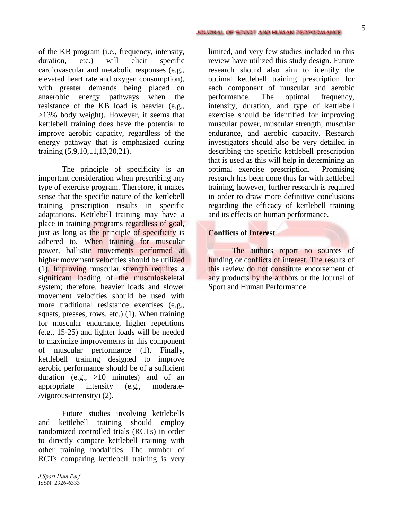of the KB program (i.e., frequency, intensity, duration, etc.) will elicit specific cardiovascular and metabolic responses (e.g., elevated heart rate and oxygen consumption), with greater demands being placed on anaerobic energy pathways when the resistance of the KB load is heavier (e.g., >13% body weight). However, it seems that kettlebell training does have the potential to improve aerobic capacity, regardless of the energy pathway that is emphasized during training (5,9,10,11,13,20,21).

The principle of specificity is an important consideration when prescribing any type of exercise program. Therefore, it makes sense that the specific nature of the kettlebell training prescription results in specific adaptations. Kettlebell training may have a place in training programs regardless of goal, just as long as the principle of specificity is adhered to. When training for muscular power, ballistic movements performed at higher movement velocities should be utilized (1). Improving muscular strength requires a significant loading of the musculoskeletal system; therefore, heavier loads and slower movement velocities should be used with more traditional resistance exercises (e.g., squats, presses, rows, etc.) (1). When training for muscular endurance, higher repetitions (e.g., 15-25) and lighter loads will be needed to maximize improvements in this component of muscular performance (1). Finally, kettlebell training designed to improve aerobic performance should be of a sufficient duration (e.g., >10 minutes) and of an appropriate intensity (e.g., moderate- /vigorous-intensity) (2).

Future studies involving kettlebells and kettlebell training should employ randomized controlled trials (RCTs) in order to directly compare kettlebell training with other training modalities. The number of RCTs comparing kettlebell training is very limited, and very few studies included in this review have utilized this study design. Future research should also aim to identify the optimal kettlebell training prescription for each component of muscular and aerobic performance. The optimal frequency, intensity, duration, and type of kettlebell exercise should be identified for improving muscular power, muscular strength, muscular endurance, and aerobic capacity. Research investigators should also be very detailed in describing the specific kettlebell prescription that is used as this will help in determining an optimal exercise prescription. Promising research has been done thus far with kettlebell training, however, further research is required in order to draw more definitive conclusions regarding the efficacy of kettlebell training and its effects on human performance.

#### **Conflicts of Interest**

The authors report no sources of funding or conflicts of interest. The results of this review do not constitute endorsement of any products by the authors or the Journal of Sport and Human Performance.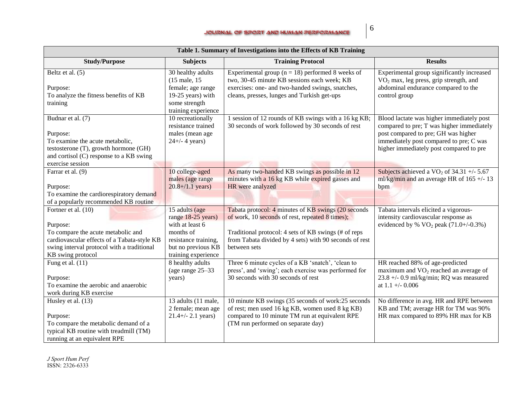#### JOURNAL OF SPORT AND HUMAN PERFORMANCE

| Table 1. Summary of Investigations into the Effects of KB Training                                                                                                                      |                                                                                                                                           |                                                                                                                                                                                                                                          |                                                                                                                                                                                                                     |  |  |
|-----------------------------------------------------------------------------------------------------------------------------------------------------------------------------------------|-------------------------------------------------------------------------------------------------------------------------------------------|------------------------------------------------------------------------------------------------------------------------------------------------------------------------------------------------------------------------------------------|---------------------------------------------------------------------------------------------------------------------------------------------------------------------------------------------------------------------|--|--|
| <b>Study/Purpose</b>                                                                                                                                                                    | <b>Subjects</b>                                                                                                                           | <b>Training Protocol</b>                                                                                                                                                                                                                 | <b>Results</b>                                                                                                                                                                                                      |  |  |
| Beltz et al. (5)<br>Purpose:<br>To analyze the fitness benefits of KB<br>training                                                                                                       | 30 healthy adults<br>(15 male, 15)<br>female; age range<br>19-25 years) with<br>some strength<br>training experience                      | Experimental group ( $n = 18$ ) performed 8 weeks of<br>two, 30-45 minute KB sessions each week; KB<br>exercises: one- and two-handed swings, snatches,<br>cleans, presses, lunges and Turkish get-ups                                   | Experimental group significantly increased<br>VO <sub>2</sub> max, leg press, grip strength, and<br>abdominal endurance compared to the<br>control group                                                            |  |  |
| Budnar et al. (7)<br>Purpose:<br>To examine the acute metabolic,<br>testosterone (T), growth hormone (GH)<br>and cortisol (C) response to a KB swing<br>exercise session                | 10 recreationally<br>resistance trained<br>males (mean age<br>$24 + (-4 \text{ years})$                                                   | 1 session of 12 rounds of KB swings with a 16 kg KB;<br>30 seconds of work followed by 30 seconds of rest                                                                                                                                | Blood lactate was higher immediately post<br>compared to pre; T was higher immediately<br>post compared to pre; GH was higher<br>immediately post compared to pre; C was<br>higher immediately post compared to pre |  |  |
| Farrar et al. (9)<br>Purpose:<br>To examine the cardiorespiratory demand<br>of a popularly recommended KB routine                                                                       | 10 college-aged<br>males (age range<br>$20.8 + /1.1$ years)                                                                               | As many two-handed KB swings as possible in 12<br>minutes with a 16 kg KB while expired gasses and<br>HR were analyzed                                                                                                                   | Subjects achieved a $VO2$ of 34.31 +/- 5.67<br>ml/kg/min and an average HR of $165 +/- 13$<br>bpm                                                                                                                   |  |  |
| Fortner et al. (10)<br>Purpose:<br>To compare the acute metabolic and<br>cardiovascular effects of a Tabata-style KB<br>swing interval protocol with a traditional<br>KB swing protocol | 15 adults (age<br>range 18-25 years)<br>with at least 6<br>months of<br>resistance training,<br>but no previous KB<br>training experience | Tabata protocol: 4 minutes of KB swings (20 seconds<br>of work, 10 seconds of rest, repeated 8 times);<br>Traditional protocol: 4 sets of KB swings (# of reps<br>from Tabata divided by 4 sets) with 90 seconds of rest<br>between sets | Tabata intervals elicited a vigorous-<br>intensity cardiovascular response as<br>evidenced by % $VO_2$ peak (71.0+/-0.3%)                                                                                           |  |  |
| Fung et al. $(11)$<br>Purpose:<br>To examine the aerobic and anaerobic<br>work during KB exercise                                                                                       | 8 healthy adults<br>(age range 25-33<br>years)                                                                                            | Three 6 minute cycles of a KB 'snatch', 'clean to<br>press', and 'swing'; each exercise was performed for<br>30 seconds with 30 seconds of rest                                                                                          | HR reached 88% of age-predicted<br>maximum and $VO2$ reached an average of<br>$23.8 +/- 0.9$ ml/kg/min; RQ was measured<br>at $1.1 + (-0.006)$                                                                      |  |  |
| Husley et al. (13)<br>Purpose:<br>To compare the metabolic demand of a<br>typical KB routine with treadmill (TM)<br>running at an equivalent RPE                                        | 13 adults (11 male,<br>2 female; mean age<br>$21.4 +/- 2.1$ years)                                                                        | 10 minute KB swings (35 seconds of work:25 seconds<br>of rest; men used 16 kg KB, women used 8 kg KB)<br>compared to 10 minute TM run at equivalent RPE<br>(TM run performed on separate day)                                            | No difference in avg. HR and RPE between<br>KB and TM; average HR for TM was 90%<br>HR max compared to 89% HR max for KB                                                                                            |  |  |

*J Sport Hum Perf* ISSN: 2326-6333

6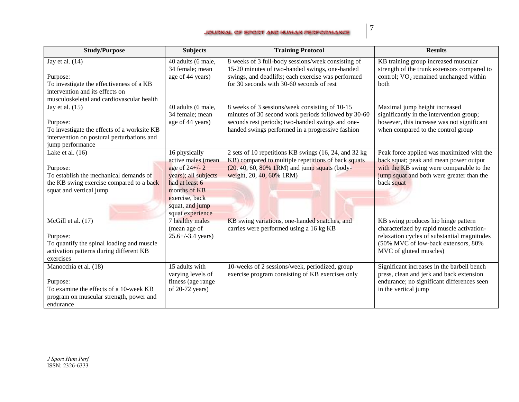#### JOURNAL OF SPORT AND HUMAN PERFORMANCE

7

| <b>Study/Purpose</b>                                                                                                                                                                        | <b>Subjects</b>                                                                                                                                                           | <b>Training Protocol</b>                                                                                                                                                                                      | <b>Results</b>                                                                                                                                                                                    |
|---------------------------------------------------------------------------------------------------------------------------------------------------------------------------------------------|---------------------------------------------------------------------------------------------------------------------------------------------------------------------------|---------------------------------------------------------------------------------------------------------------------------------------------------------------------------------------------------------------|---------------------------------------------------------------------------------------------------------------------------------------------------------------------------------------------------|
| Jay et al. $(14)$<br>Purpose:<br>To investigate the effectiveness of a KB<br>intervention and its effects on                                                                                | 40 adults (6 male,<br>34 female; mean<br>age of 44 years)                                                                                                                 | 8 weeks of 3 full-body sessions/week consisting of<br>15-20 minutes of two-handed swings, one-handed<br>swings, and deadlifts; each exercise was performed<br>for 30 seconds with 30-60 seconds of rest       | KB training group increased muscular<br>strength of the trunk extensors compared to<br>control; $VO2$ remained unchanged within<br><b>both</b>                                                    |
| musculoskeletal and cardiovascular health<br>Jay et al. $(15)$<br>Purpose:<br>To investigate the effects of a worksite KB<br>intervention on postural perturbations and<br>jump performance | 40 adults (6 male,<br>34 female; mean<br>age of 44 years)                                                                                                                 | 8 weeks of 3 sessions/week consisting of 10-15<br>minutes of 30 second work periods followed by 30-60<br>seconds rest periods; two-handed swings and one-<br>handed swings performed in a progressive fashion | Maximal jump height increased<br>significantly in the intervention group;<br>however, this increase was not significant<br>when compared to the control group                                     |
| Lake et al. $(16)$<br>Purpose:<br>To establish the mechanical demands of<br>the KB swing exercise compared to a back<br>squat and vertical jump                                             | 16 physically<br>active males (mean<br>age of $24+/-2$<br>years); all subjects<br>had at least 6<br>months of KB<br>exercise, back<br>squat, and jump<br>squat experience | 2 sets of 10 repetitions KB swings (16, 24, and 32 kg)<br>KB) compared to multiple repetitions of back squats<br>(20, 40, 60, 80% 1RM) and jump squats (body-<br>weight, 20, 40, 60% 1RM)                     | Peak force applied was maximized with the<br>back squat; peak and mean power output<br>with the KB swing were comparable to the<br>jump squat and both were greater than the<br>back squat        |
| McGill et al. $(17)$<br>Purpose:<br>To quantify the spinal loading and muscle<br>activation patterns during different KB<br>exercises                                                       | 7 healthy males<br>(mean age of<br>$25.6 + (-3.4 \text{ years})$                                                                                                          | KB swing variations, one-handed snatches, and<br>carries were performed using a 16 kg KB                                                                                                                      | KB swing produces hip hinge pattern<br>characterized by rapid muscle activation-<br>relaxation cycles of substantial magnitudes<br>(50% MVC of low-back extensors, 80%<br>MVC of gluteal muscles) |
| Manocchia et al. (18)<br>Purpose:<br>To examine the effects of a 10-week KB<br>program on muscular strength, power and<br>endurance                                                         | 15 adults with<br>varying levels of<br>fitness (age range<br>of $20-72$ years)                                                                                            | 10-weeks of 2 sessions/week, periodized, group<br>exercise program consisting of KB exercises only                                                                                                            | Significant increases in the barbell bench<br>press, clean and jerk and back extension<br>endurance; no significant differences seen<br>in the vertical jump                                      |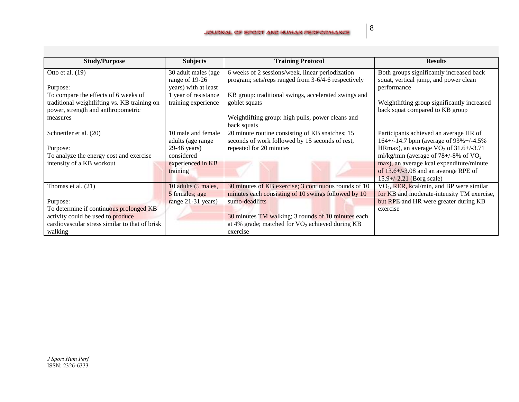| <b>Study/Purpose</b>                                                                                                       | <b>Subjects</b>                                               | <b>Training Protocol</b>                                                                                    | <b>Results</b>                                                                                                         |
|----------------------------------------------------------------------------------------------------------------------------|---------------------------------------------------------------|-------------------------------------------------------------------------------------------------------------|------------------------------------------------------------------------------------------------------------------------|
| Otto et al. $(19)$<br>Purpose:                                                                                             | 30 adult males (age<br>range of 19-26<br>years) with at least | 6 weeks of 2 sessions/week, linear periodization<br>program; sets/reps ranged from 3-6/4-6 respectively     | Both groups significantly increased back<br>squat, vertical jump, and power clean<br>performance                       |
| To compare the effects of 6 weeks of<br>traditional weightlifting vs. KB training on<br>power, strength and anthropometric | 1 year of resistance<br>training experience                   | KB group: traditional swings, accelerated swings and<br>goblet squats                                       | Weightlifting group significantly increased<br>back squat compared to KB group                                         |
| measures                                                                                                                   |                                                               | Weightlifting group: high pulls, power cleans and<br>back squats                                            |                                                                                                                        |
| Schnettler et al. (20)                                                                                                     | 10 male and female<br>adults (age range                       | 20 minute routine consisting of KB snatches; 15<br>seconds of work followed by 15 seconds of rest,          | Participants achieved an average HR of<br>164+/-14.7 bpm (average of 93%+/-4.5%                                        |
| Purpose:<br>To analyze the energy cost and exercise                                                                        | 29-46 years)<br>considered                                    | repeated for 20 minutes                                                                                     | HRmax), an average $VO_2$ of 31.6+/-3.71<br>ml/kg/min (average of $78 + (-8\% \text{ of VO}_2)$                        |
| intensity of a KB workout                                                                                                  | experienced in KB<br>training                                 |                                                                                                             | max), an average kcal expenditure/minute<br>of $13.6 + (-3.08)$ and an average RPE of<br>$15.9 + (-2.21)$ (Borg scale) |
| Thomas et al. $(21)$                                                                                                       | 10 adults (5 males,<br>5 females; age                         | 30 minutes of KB exercise; 3 continuous rounds of 10<br>minutes each consisting of 10 swings followed by 10 | $VO2$ , RER, kcal/min, and BP were similar<br>for KB and moderate-intensity TM exercise,                               |
| Purpose:                                                                                                                   | range 21-31 years)                                            | sumo-deadlifts                                                                                              | but RPE and HR were greater during KB                                                                                  |
| To determine if continuous prolonged KB<br>activity could be used to produce                                               |                                                               | 30 minutes TM walking; 3 rounds of 10 minutes each                                                          | exercise                                                                                                               |
| cardiovascular stress similar to that of brisk<br>walking                                                                  |                                                               | at 4% grade; matched for $VO_2$ achieved during KB<br>exercise                                              |                                                                                                                        |

8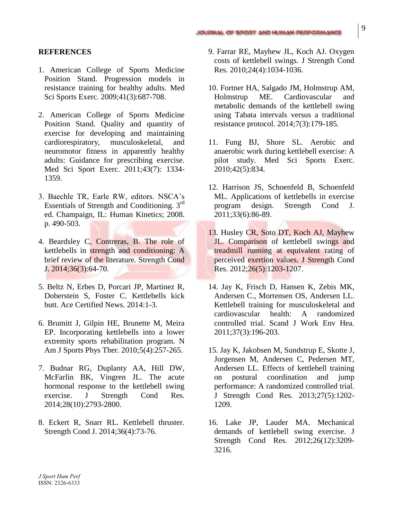#### **REFERENCES**

- 1. American College of Sports Medicine Position Stand. Progression models in resistance training for healthy adults. Med Sci Sports Exerc. 2009;41(3):687-708.
- 2. American College of Sports Medicine Position Stand. Quality and quantity of exercise for developing and maintaining cardiorespiratory, musculoskeletal, and neuromotor fitness in apparently healthy adults: Guidance for prescribing exercise. Med Sci Sport Exerc. 2011;43(7): 1334- 1359.
- 3. Baechle TR, Earle RW, editors. NSCA's Essentials of Strength and Conditioning.  $3<sup>rd</sup>$ ed. Champaign, IL: Human Kinetics; 2008. p. 490-503.
- 4. Beardsley C, Contreras, B. The role of kettlebells in strength and conditioning: A brief review of the literature. Strength Cond J. 2014;36(3):64-70.
- 5. Beltz N, Erbes D, Porcari JP, Martinez R, Doberstein S, Foster C. Kettlebells kick butt. Ace Certified News. 2014:1-3.
- 6. Brumitt J, Gilpin HE, Brunette M, Meira EP. Incorporating kettlebells into a lower extremity sports rehabilitation program. N Am J Sports Phys Ther. 2010;5(4):257-265.
- 7. Budnar RG, Duplanty AA, Hill DW, McFarlin BK, Vingren JL. The acute hormonal response to the kettlebell swing exercise. J Strength Cond Res. 2014;28(10):2793-2800.
- 8. Eckert R, Snarr RL. Kettlebell thruster. Strength Cond J. 2014;36(4):73-76.
- 9. Farrar RE, Mayhew JL, Koch AJ. Oxygen costs of kettlebell swings. J Strength Cond Res. 2010;24(4):1034-1036.
- 10. Fortner HA, Salgado JM, Holmstrup AM, Holmstrup ME. Cardiovascular and metabolic demands of the kettlebell swing using Tabata intervals versus a traditional resistance protocol. 2014;7(3):179-185.
- 11. Fung BJ, Shore SL. Aerobic and anaerobic work during kettlebell exercise: A pilot study. Med Sci Sports Exerc. 2010;42(5):834.
- 12. Harrison JS, Schoenfeld B, Schoenfeld ML. Applications of kettlebells in exercise program design. Strength Cond J. 2011;33(6):86-89.
- 13. Husley CR, Soto DT, Koch AJ, Mayhew JL. Comparison of kettlebell swings and treadmill running at equivalent rating of perceived exertion values. J Strength Cond Res. 2012;26(5):1203-1207.
- 14. Jay K, Frisch D, Hansen K, Zebis MK, Andersen C., Mortensen OS, Andersen LL. Kettlebell training for musculoskeletal and cardiovascular health: A randomized controlled trial. Scand J Work Env Hea. 2011;37(3):196-203.
- 15. Jay K, Jakobsen M, Sundstrup E, Skotte J, Jorgensen M, Andersen C, Pedersen MT, Andersen LL. Effects of kettlebell training on postural coordination and jump performance: A randomized controlled trial. J Strength Cond Res. 2013;27(5):1202- 1209.
- 16. Lake JP, Lauder MA. Mechanical demands of kettlebell swing exercise. J Strength Cond Res. 2012;26(12):3209- 3216.